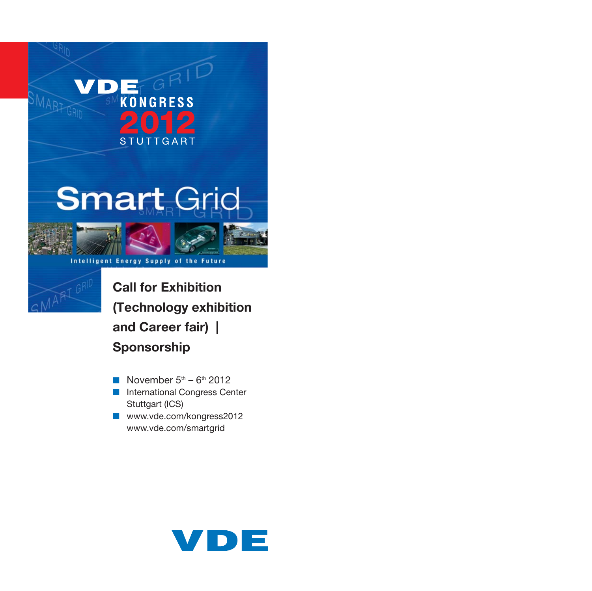# **Smart Grid**

**Energy Supply of** 

**KONGRESS** 

**STUTTGART** 

GRID



SMART

**Call for Exhibition (Technology exhibition and Career fair) | Sponsorship**

the

Future

- November  $5<sup>th</sup>$   $6<sup>th</sup>$  2012
- International Congress Center Stuttgart (ICS)
- www.vde.com/kongress2012 www.vde.com/smartgrid

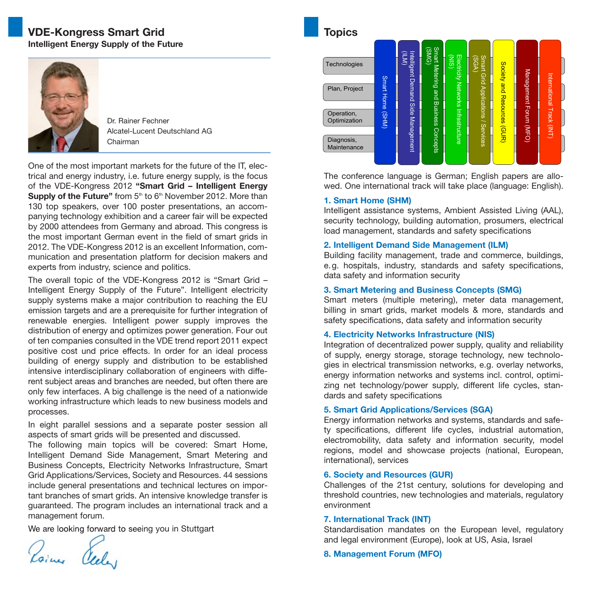## **VDE-Kongress Smart Grid Intelligent Energy Supply of the Future**



Dr. Rainer Fechner Alcatel-Lucent Deutschland AG Chairman

One of the most important markets for the future of the IT, electrical and energy industry, i.e. future energy supply, is the focus of the VDE-Kongress 2012 **"Smart Grid – Intelligent Energy Supply of the Future"** from 5<sup>th</sup> to 6<sup>th</sup> November 2012. More than 130 top speakers, over 100 poster presentations, an accompanying technology exhibition and a career fair will be expected by 2000 attendees from Germany and abroad. This congress is the most important German event in the field of smart grids in 2012. The VDE-Kongress 2012 is an excellent Information, communication and presentation platform for decision makers and experts from industry, science and politics.

The overall topic of the VDE-Kongress 2012 is "Smart Grid – Intelligent Energy Supply of the Future". Intelligent electricity supply systems make a major contribution to reaching the EU emission targets and are a prerequisite for further integration of renewable energies. Intelligent power supply improves the distribution of energy and optimizes power generation. Four out of ten companies consulted in the VDE trend report 2011 expect positive cost und price effects. In order for an ideal process building of energy supply and distribution to be established intensive interdisciplinary collaboration of engineers with different subject areas and branches are needed, but often there are only few interfaces. A big challenge is the need of a nationwide working infrastructure which leads to new business models and processes.

In eight parallel sessions and a separate poster session all aspects of smart grids will be presented and discussed.

The following main topics will be covered: Smart Home, Intelligent Demand Side Management, Smart Metering and Business Concepts, Electricity Networks Infrastructure, Smart Grid Applications/Services, Society and Resources. 44 sessions include general presentations and technical lectures on important branches of smart grids. An intensive knowledge transfer is guaranteed. The program includes an international track and a management forum.

We are looking forward to seeing you in Stuttgart<br>  $\gamma$ 

# **Topics**

| ιυμισε                     |                  |                                    |                          |                                     |                              |                             |                        |                           |  |
|----------------------------|------------------|------------------------------------|--------------------------|-------------------------------------|------------------------------|-----------------------------|------------------------|---------------------------|--|
| Technologies               |                  | $\widehat{\mathbb{F}}$             | Smart<br>(SMG)           | (MIS)                               | <b>Smart</b><br>(SGA)        |                             |                        |                           |  |
| Plan, Project              | Smart Home (SHM) | Intelligent Demand Side Management | Metering and             | Electricity Networks Infrastructure | Grid Applications / Services | Society and Resources (GUR) | Management Forum (MFO) | International Track (INT) |  |
| Operation,<br>Optimization |                  |                                    | <b>Business Concepts</b> |                                     |                              |                             |                        |                           |  |
| Diagnosis,<br>Maintenance  |                  |                                    |                          |                                     |                              |                             |                        |                           |  |

The conference language is German; English papers are allowed. One international track will take place (language: English).

#### **1. Smart Home (SHM)**

Intelligent assistance systems, Ambient Assisted Living (AAL), security technology, building automation, prosumers, electrical load management, standards and safety specifications

#### **2. Intelligent Demand Side Management (ILM)**

Building facility management, trade and commerce, buildings, e.g. hospitals, industry, standards and safety specifications, data safety and information security

#### **3. Smart Metering and Business Concepts (SMG)**

Smart meters (multiple metering), meter data management, billing in smart grids, market models & more, standards and safety specifications, data safety and information security

#### **4. Electricity Networks Infrastructure (NIS)**

Integration of decentralized power supply, quality and reliability of supply, energy storage, storage technology, new technologies in electrical transmission networks, e.g. overlay networks, energy information networks and systems incl. control, optimizing net technology/power supply, different life cycles, standards and safety specifications

#### **5. Smart Grid Applications/Services (SGA)**

Energy information networks and systems, standards and safety specifications, different life cycles, industrial automation, electromobility, data safety and information security, model regions, model and showcase projects (national, European, international), services

#### **6. Society and Resources (GUR)**

Challenges of the 21st century, solutions for developing and threshold countries, new technologies and materials, regulatory environment

#### **7. International Track (INT)**

Standardisation mandates on the European level, regulatory and legal environment (Europe), look at US, Asia, Israel

**8. Management Forum (MFO)**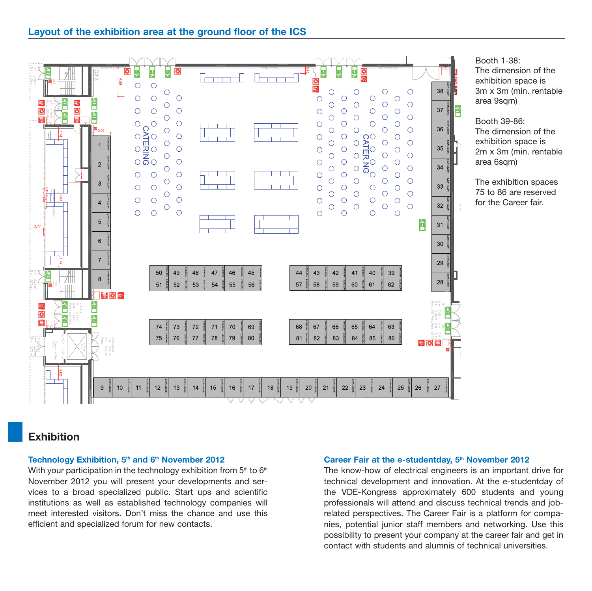

Booth 1-38: The dimension of the exhibition space is 3m x 3m (min. rentable area 9sqm)

Booth 39-86: The dimension of the exhibition space is 2m x 3m (min. rentable area 6sqm)

The exhibition spaces 75 to 86 are reserved for the Career fair.

# **Exhibition**

#### Technology Exhibition, 5<sup>th</sup> and 6<sup>th</sup> November 2012

With your participation in the technology exhibition from  $5<sup>th</sup>$  to  $6<sup>th</sup>$ November 2012 you will present your developments and ser vices to a broad specialized public. Start ups and scientific institutions as well as established technology companies will meet interested visitors. Don't miss the chance and use this efficient and specialized forum for new contacts.

#### Career Fair at the e-studentday, 5<sup>th</sup> November 2012

The know-how of electrical engineers is an important drive for technical development and innovation. At the e-studentday of the VDE-Kongress approximately 600 students and young professionals will attend and discuss technical trends and jobrelated perspectives. The Career Fair is a platform for companies, potential junior staff members and networking. Use this possibility to present your company at the career fair and get in contact with students and alumnis of technical universities.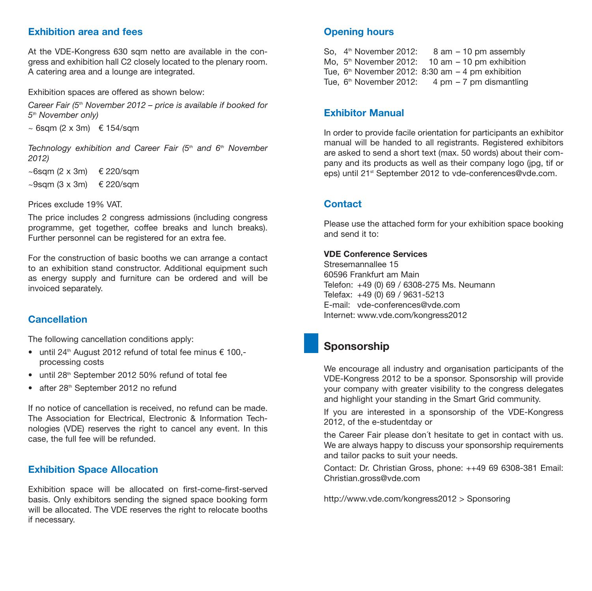#### **Exhibition area and fees**

At the VDE-Kongress 630 sam netto are available in the congress and exhibition hall C2 closely located to the plenary room. A catering area and a lounge are integrated.

Exhibition spaces are offered as shown below:

Career Fair ( $5<sup>th</sup>$  November 2012 – price is available if booked for 5<sup>th</sup> November only)

 $\sim$  6sqm (2 x 3m)  $\epsilon$  154/sqm

Technology exhibition and Career Fair  $(5<sup>th</sup>$  and  $6<sup>th</sup>$  November 2012)

 $~\sim$ 6sam (2 x 3m)  $~\in$  220/sam

 $\sim$ 9sam (3 x 3m)  $\epsilon$  220/sam

Prices exclude 19% VAT.

The price includes 2 congress admissions (including congress programme, get together, coffee breaks and lunch breaks). Further personnel can be registered for an extra fee.

For the construction of basic booths we can arrange a contact to an exhibition stand constructor. Additional equipment such as energy supply and furniture can be ordered and will be invoiced separately.

#### **Cancellation**

The following cancellation conditions apply:

- until 24<sup>th</sup> August 2012 refund of total fee minus  $\epsilon$  100,processing costs
- until 28<sup>th</sup> September 2012 50% refund of total fee
- after 28<sup>th</sup> September 2012 no refund

If no notice of cancellation is received, no refund can be made. The Association for Electrical, Electronic & Information Technologies (VDE) reserves the right to cancel any event. In this case, the full fee will be refunded.

#### **Exhibition Space Allocation**

Exhibition space will be allocated on first-come-first-served basis. Only exhibitors sending the signed space booking form will be allocated. The VDE reserves the right to relocate booths if necessary.

#### **Opening hours**

So,  $4<sup>th</sup>$  November 2012:  $8$  am  $-10$  pm assembly Mo.  $5<sup>th</sup>$  November 2012: 10 am – 10 pm exhibition Tue,  $6<sup>th</sup>$  November 2012: 8:30 am  $-4$  pm exhibition Tue,  $6<sup>th</sup>$  November 2012: 4 pm – 7 pm dismantling

#### **Exhibitor Manual**

In order to provide facile orientation for participants an exhibitor manual will be handed to all registrants. Registered exhibitors are asked to send a short text (max. 50 words) about their company and its products as well as their company logo (jpg, tif or eps) until 21<sup>st</sup> September 2012 to vde-conferences@vde.com.

#### **Contact**

Please use the attached form for your exhibition space booking and send it to:

#### **VDE Conference Services**

Stresemannallee 15 60596 Frankfurt am Main Telefon: +49 (0) 69 / 6308-275 Ms. Neumann Telefax: +49 (0) 69 / 9631-5213 E-mail: vde-conferences@vde.com Internet: www.vde.com/kongress2012

# **Sponsorship**

We encourage all industry and organisation participants of the VDE-Kongress 2012 to be a sponsor. Sponsorship will provide your company with greater visibility to the congress delegates and highlight your standing in the Smart Grid community.

If you are interested in a sponsorship of the VDE-Kongress 2012, of the e-studentday or

the Career Fair please don´t hesitate to get in contact with us. We are always happy to discuss your sponsorship requirements and tailor packs to suit your needs.

Contact: Dr. Christian Gross, phone: ++49 69 6308-381 Email: Christian.gross@vde.com

http://www.vde.com/kongress2012 > Sponsoring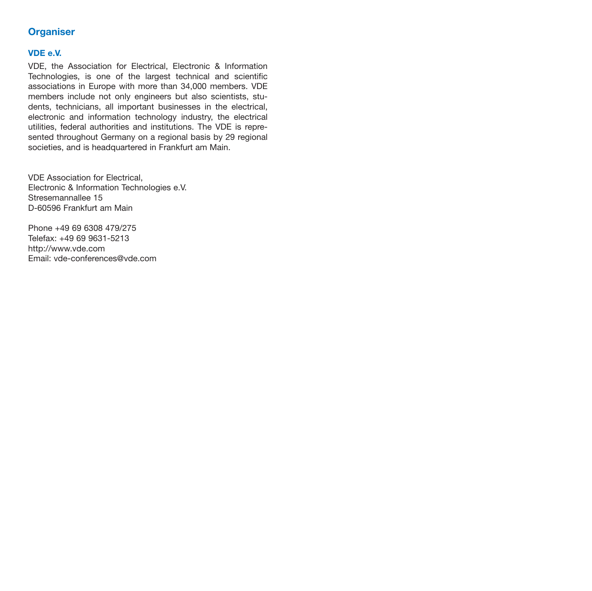## **Organiser**

#### **VDE e.V.**

VDE, the Association for Electrical, Electronic & Information Technologies, is one of the largest technical and scientific associations in Europe with more than 34,000 members. VDE members include not only engineers but also scientists, students, technicians, all important businesses in the electrical, electronic and information technology industry, the electrical utilities, federal authorities and institutions. The VDE is represented throughout Germany on a regional basis by 29 regional societies, and is headquartered in Frankfurt am Main.

VDE Association for Electrical, Electronic & Information Technologies e.V. Stresemannallee 15 D-60596 Frankfurt am Main

Phone +49 69 6308 479/275 Telefax: +49 69 9631-5213 http://www.vde.com Email: vde-conferences@vde.com